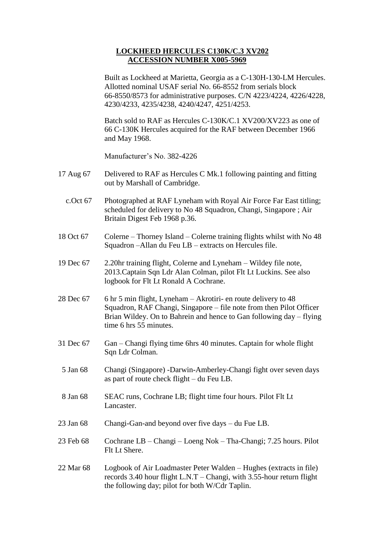## **LOCKHEED HERCULES C130K/C.3 XV202 ACCESSION NUMBER X005-5969**

Built as Lockheed at Marietta, Georgia as a C-130H-130-LM Hercules. Allotted nominal USAF serial No. 66-8552 from serials block 66-8550/8573 for administrative purposes. C/N 4223/4224, 4226/4228, 4230/4233, 4235/4238, 4240/4247, 4251/4253.

Batch sold to RAF as Hercules C-130K/C.1 XV200/XV223 as one of 66 C-130K Hercules acquired for the RAF between December 1966 and May 1968.

Manufacturer's No. 382-4226

- 17 Aug 67 Delivered to RAF as Hercules C Mk.1 following painting and fitting out by Marshall of Cambridge.
	- c.Oct 67 Photographed at RAF Lyneham with Royal Air Force Far East titling; scheduled for delivery to No 48 Squadron, Changi, Singapore ; Air Britain Digest Feb 1968 p.36.
- 18 Oct 67 Colerne Thorney Island Colerne training flights whilst with No 48 Squadron –Allan du Feu LB – extracts on Hercules file.
- 19 Dec 67 2.20hr training flight, Colerne and Lyneham Wildey file note, 2013.Captain Sqn Ldr Alan Colman, pilot Flt Lt Luckins. See also logbook for Flt Lt Ronald A Cochrane.
- 28 Dec 67 6 hr 5 min flight, Lyneham Akrotiri- en route delivery to 48 Squadron, RAF Changi, Singapore – file note from then Pilot Officer Brian Wildey. On to Bahrein and hence to Gan following day – flying time 6 hrs 55 minutes.
- 31 Dec 67 Gan Changi flying time 6hrs 40 minutes. Captain for whole flight Sqn Ldr Colman.
- 5 Jan 68 Changi (Singapore) -Darwin-Amberley-Changi fight over seven days as part of route check flight – du Feu LB.
- 8 Jan 68 SEAC runs, Cochrane LB; flight time four hours. Pilot Flt Lt Lancaster.
- 23 Jan 68 Changi-Gan-and beyond over five days du Fue LB.
- 23 Feb 68 Cochrane LB Changi Loeng Nok Tha-Changi; 7.25 hours. Pilot Flt Lt Shere.
- 22 Mar 68 Logbook of Air Loadmaster Peter Walden Hughes (extracts in file) records 3.40 hour flight L.N.T – Changi, with 3.55-hour return flight the following day; pilot for both W/Cdr Taplin.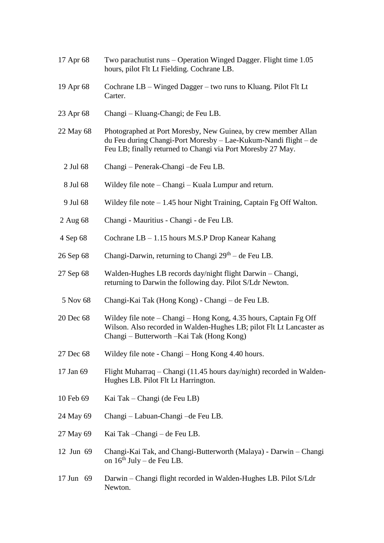17 Apr 68 Two parachutist runs – Operation Winged Dagger. Flight time 1.05 hours, pilot Flt Lt Fielding. Cochrane LB. 19 Apr 68 Cochrane LB – Winged Dagger – two runs to Kluang. Pilot Flt Lt Carter. 23 Apr 68 Changi – Kluang-Changi; de Feu LB. 22 May 68 Photographed at Port Moresby, New Guinea, by crew member Allan du Feu during Changi-Port Moresby – Lae-Kukum-Nandi flight – de Feu LB; finally returned to Changi via Port Moresby 27 May. 2 Jul 68 Changi – Penerak-Changi –de Feu LB. 8 Jul 68 Wildey file note – Changi – Kuala Lumpur and return. 9 Jul 68 Wildey file note – 1.45 hour Night Training, Captain Fg Off Walton. 2 Aug 68 Changi - Mauritius - Changi - de Feu LB. 4 Sep 68 Cochrane LB – 1.15 hours M.S.P Drop Kanear Kahang 26 Sep 68 Changi-Darwin, returning to Changi  $29<sup>th</sup> - de Feu LB$ . 27 Sep 68 Walden-Hughes LB records day/night flight Darwin – Changi, returning to Darwin the following day. Pilot S/Ldr Newton. 5 Nov 68 Changi-Kai Tak (Hong Kong) - Changi – de Feu LB. 20 Dec 68 Wildey file note – Changi – Hong Kong, 4.35 hours, Captain Fg Off Wilson. Also recorded in Walden-Hughes LB; pilot Flt Lt Lancaster as Changi – Butterworth –Kai Tak (Hong Kong) 27 Dec 68 Wildey file note - Changi – Hong Kong 4.40 hours. 17 Jan 69 Flight Muharraq – Changi (11.45 hours day/night) recorded in Walden-Hughes LB. Pilot Flt Lt Harrington. 10 Feb 69 Kai Tak – Changi (de Feu LB) 24 May 69 Changi – Labuan-Changi –de Feu LB. 27 May 69 Kai Tak –Changi – de Feu LB. 12 Jun 69 Changi-Kai Tak, and Changi-Butterworth (Malaya) - Darwin – Changi on  $16^{th}$  July – de Feu LB. 17 Jun 69 Darwin – Changi flight recorded in Walden-Hughes LB. Pilot S/Ldr Newton.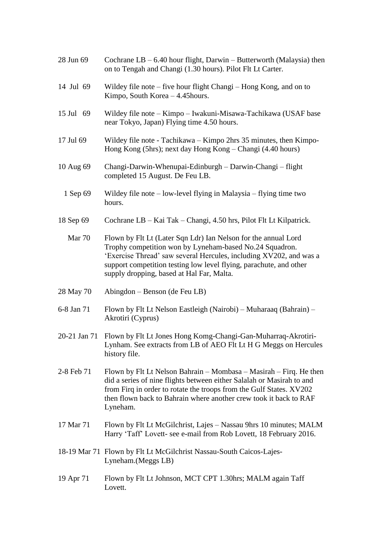| 28 Jun 69  | Cochrane $LB - 6.40$ hour flight, Darwin – Butterworth (Malaysia) then<br>on to Tengah and Changi (1.30 hours). Pilot Flt Lt Carter.                                                                                                                                                                               |
|------------|--------------------------------------------------------------------------------------------------------------------------------------------------------------------------------------------------------------------------------------------------------------------------------------------------------------------|
| 14 Jul 69  | Wildey file note - five hour flight Changi - Hong Kong, and on to<br>Kimpo, South Korea - 4.45 hours.                                                                                                                                                                                                              |
| 15 Jul 69  | Wildey file note – Kimpo – Iwakuni-Misawa-Tachikawa (USAF base<br>near Tokyo, Japan) Flying time 4.50 hours.                                                                                                                                                                                                       |
| 17 Jul 69  | Wildey file note - Tachikawa – Kimpo 2hrs 35 minutes, then Kimpo-<br>Hong Kong (5hrs); next day Hong Kong – Changi (4.40 hours)                                                                                                                                                                                    |
| 10 Aug 69  | Changi-Darwin-Whenupai-Edinburgh – Darwin-Changi – flight<br>completed 15 August. De Feu LB.                                                                                                                                                                                                                       |
| 1 Sep 69   | Wildey file note $-$ low-level flying in Malaysia $-$ flying time two<br>hours.                                                                                                                                                                                                                                    |
| 18 Sep 69  | Cochrane LB – Kai Tak – Changi, 4.50 hrs, Pilot Flt Lt Kilpatrick.                                                                                                                                                                                                                                                 |
| Mar 70     | Flown by Flt Lt (Later Sqn Ldr) Ian Nelson for the annual Lord<br>Trophy competition won by Lyneham-based No.24 Squadron.<br>'Exercise Thread' saw several Hercules, including XV202, and was a<br>support competition testing low level flying, parachute, and other<br>supply dropping, based at Hal Far, Malta. |
| 28 May 70  | Abingdon - Benson (de Feu LB)                                                                                                                                                                                                                                                                                      |
| 6-8 Jan 71 | Flown by Flt Lt Nelson Eastleigh (Nairobi) – Muharaaq (Bahrain) –<br>Akrotiri (Cyprus)                                                                                                                                                                                                                             |
|            | 20-21 Jan 71 Flown by Flt Lt Jones Hong Komg-Changi-Gan-Muharraq-Akrotiri-<br>Lynham. See extracts from LB of AEO Flt Lt H G Meggs on Hercules<br>history file.                                                                                                                                                    |
| 2-8 Feb 71 | Flown by Flt Lt Nelson Bahrain – Mombasa – Masirah – Firq. He then<br>did a series of nine flights between either Salalah or Masirah to and<br>from Firq in order to rotate the troops from the Gulf States. XV202<br>then flown back to Bahrain where another crew took it back to RAF<br>Lyneham.                |
| 17 Mar 71  | Flown by Flt Lt McGilchrist, Lajes - Nassau 9hrs 10 minutes; MALM<br>Harry 'Taff' Lovett- see e-mail from Rob Lovett, 18 February 2016.                                                                                                                                                                            |
|            | 18-19 Mar 71 Flown by Flt Lt McGilchrist Nassau-South Caicos-Lajes-<br>Lyneham. (Meggs LB)                                                                                                                                                                                                                         |
| 19 Apr 71  | Flown by Flt Lt Johnson, MCT CPT 1.30hrs; MALM again Taff<br>Lovett.                                                                                                                                                                                                                                               |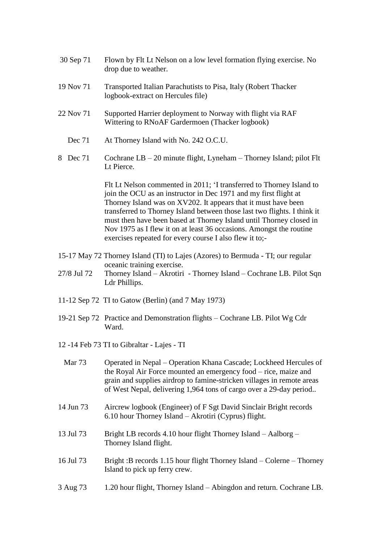| 30 Sep 71   | Flown by Flt Lt Nelson on a low level formation flying exercise. No<br>drop due to weather.                                                                                                                                                                                                                                                                                                                                          |
|-------------|--------------------------------------------------------------------------------------------------------------------------------------------------------------------------------------------------------------------------------------------------------------------------------------------------------------------------------------------------------------------------------------------------------------------------------------|
| 19 Nov 71   | Transported Italian Parachutists to Pisa, Italy (Robert Thacker<br>logbook-extract on Hercules file)                                                                                                                                                                                                                                                                                                                                 |
| 22 Nov 71   | Supported Harrier deployment to Norway with flight via RAF<br>Wittering to RNoAF Gardermoen (Thacker logbook)                                                                                                                                                                                                                                                                                                                        |
| Dec 71      | At Thorney Island with No. 242 O.C.U.                                                                                                                                                                                                                                                                                                                                                                                                |
| Dec 71<br>8 | Cochrane $LB - 20$ minute flight, Lyneham – Thorney Island; pilot Flt<br>Lt Pierce.                                                                                                                                                                                                                                                                                                                                                  |
|             | Fit Lt Nelson commented in 2011; 'I transferred to Thorney Island to<br>join the OCU as an instructor in Dec 1971 and my first flight at<br>Thorney Island was on XV202. It appears that it must have been<br>transferred to Thorney Island between those last two flights. I think it<br>must then have been based at Thorney Island until Thorney closed in<br>Nov 1975 as I flew it on at least 36 occasions. Amongst the routine |

15-17 May 72 Thorney Island (TI) to Lajes (Azores) to Bermuda - TI; our regular oceanic training exercise.

exercises repeated for every course I also flew it to;-

- 27/8 Jul 72 Thorney Island Akrotiri Thorney Island Cochrane LB. Pilot Sqn Ldr Phillips.
- 11-12 Sep 72 TI to Gatow (Berlin) (and 7 May 1973)
- 19-21 Sep 72 Practice and Demonstration flights Cochrane LB. Pilot Wg Cdr Ward.
- 12 -14 Feb 73 TI to Gibraltar Lajes TI

| Mar <sub>73</sub> | Operated in Nepal – Operation Khana Cascade; Lockheed Hercules of<br>the Royal Air Force mounted an emergency food – rice, maize and<br>grain and supplies airdrop to famine-stricken villages in remote areas<br>of West Nepal, delivering 1,964 tons of cargo over a 29-day period |
|-------------------|--------------------------------------------------------------------------------------------------------------------------------------------------------------------------------------------------------------------------------------------------------------------------------------|
| 14 Jun 73         | Aircrew logbook (Engineer) of F Sgt David Sinclair Bright records<br>$6.10$ hour Thorney Island – Akrotiri (Cyprus) flight.                                                                                                                                                          |
| 13 Jul 73         | Bright LB records 4.10 hour flight Thorney Island $-$ Aalborg $-$<br>Thorney Island flight.                                                                                                                                                                                          |
| 16 Jul 73         | Bright: B records 1.15 hour flight Thorney Island – Colerne – Thorney<br>Island to pick up ferry crew.                                                                                                                                                                               |
| 3 Aug 73          | 1.20 hour flight, Thorney Island – Abingdon and return. Cochrane LB.                                                                                                                                                                                                                 |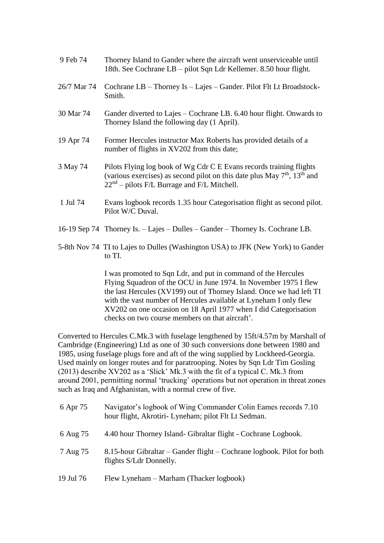| 9 Feb 74    | Thorney Island to Gander where the aircraft went unserviceable until<br>18th. See Cochrane LB – pilot Sqn Ldr Kellemer. 8.50 hour flight.                                                                      |
|-------------|----------------------------------------------------------------------------------------------------------------------------------------------------------------------------------------------------------------|
| 26/7 Mar 74 | Cochrane LB – Thorney Is – Lajes – Gander. Pilot Flt Lt Broadstock-<br>Smith.                                                                                                                                  |
| 30 Mar 74   | Gander diverted to Lajes – Cochrane LB. 6.40 hour flight. Onwards to<br>Thorney Island the following day (1 April).                                                                                            |
| 19 Apr 74   | Former Hercules instructor Max Roberts has provided details of a<br>number of flights in XV202 from this date;                                                                                                 |
| 3 May 74    | Pilots Flying log book of Wg Cdr C E Evans records training flights<br>(various exercises) as second pilot on this date plus May $7th$ , 13 <sup>th</sup> and<br>$22nd$ – pilots F/L Burrage and F/L Mitchell. |
| 1 Jul 74    | Evans logbook records 1.35 hour Categorisation flight as second pilot.<br>Pilot W/C Duval.                                                                                                                     |
|             | 16-19 Sep 74 Thorney Is. - Lajes - Dulles - Gander - Thorney Is. Cochrane LB.                                                                                                                                  |

5-8th Nov 74 TI to Lajes to Dulles (Washington USA) to JFK (New York) to Gander to TI.

> I was promoted to Sqn Ldr, and put in command of the Hercules Flying Squadron of the OCU in June 1974. In November 1975 I flew the last Hercules (XV199) out of Thorney Island. Once we had left TI with the vast number of Hercules available at Lyneham I only flew XV202 on one occasion on 18 April 1977 when I did Categorisation checks on two course members on that aircraft'.

Converted to Hercules C.Mk.3 with fuselage lengthened by 15ft/4.57m by Marshall of Cambridge (Engineering) Ltd as one of 30 such conversions done between 1980 and 1985, using fuselage plugs fore and aft of the wing supplied by Lockheed-Georgia. Used mainly on longer routes and for paratrooping. Notes by Sqn Ldr Tim Gosling (2013) describe XV202 as a 'Slick' Mk.3 with the fit of a typical C. Mk.3 from around 2001, permitting normal 'trucking' operations but not operation in threat zones such as Iraq and Afghanistan, with a normal crew of five.

| 6 Apr 75  | Navigator's logbook of Wing Commander Colin Eames records 7.10<br>hour flight, Akrotiri- Lyneham; pilot Flt Lt Sedman. |
|-----------|------------------------------------------------------------------------------------------------------------------------|
| 6 Aug 75  | 4.40 hour Thorney Island- Gibraltar flight - Cochrane Logbook.                                                         |
| 7 Aug 75  | 8.15-hour Gibraltar – Gander flight – Cochrane logbook. Pilot for both<br>flights S/Ldr Donnelly.                      |
| 19 Jul 76 | Flew Lyneham – Marham (Thacker logbook)                                                                                |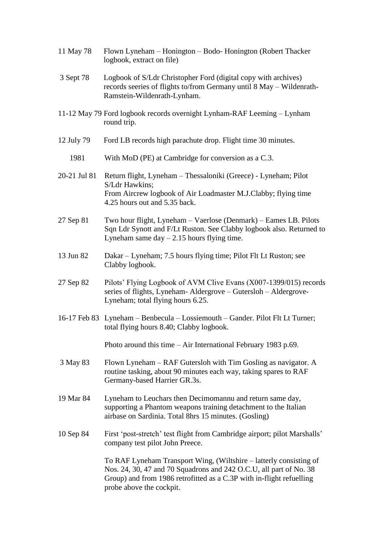| 11 May 78    | Flown Lyneham – Honington – Bodo- Honington (Robert Thacker<br>logbook, extract on file)                                                                                                                                                     |
|--------------|----------------------------------------------------------------------------------------------------------------------------------------------------------------------------------------------------------------------------------------------|
| 3 Sept 78    | Logbook of S/Ldr Christopher Ford (digital copy with archives)<br>records seeries of flights to/from Germany until 8 May - Wildenrath-<br>Ramstein-Wildenrath-Lynham.                                                                        |
|              | 11-12 May 79 Ford logbook records overnight Lynham-RAF Leeming - Lynham<br>round trip.                                                                                                                                                       |
| 12 July 79   | Ford LB records high parachute drop. Flight time 30 minutes.                                                                                                                                                                                 |
| 1981         | With MoD (PE) at Cambridge for conversion as a C.3.                                                                                                                                                                                          |
| 20-21 Jul 81 | Return flight, Lyneham - Thessaloniki (Greece) - Lyneham; Pilot<br>S/Ldr Hawkins;<br>From Aircrew logbook of Air Loadmaster M.J.Clabby; flying time                                                                                          |
|              | 4.25 hours out and 5.35 back.                                                                                                                                                                                                                |
| 27 Sep 81    | Two hour flight, Lyneham - Vaerlose (Denmark) - Eames LB. Pilots<br>Sqn Ldr Synott and F/Lt Ruston. See Clabby logbook also. Returned to<br>Lyneham same $day - 2.15$ hours flying time.                                                     |
| 13 Jun 82    | Dakar – Lyneham; 7.5 hours flying time; Pilot Flt Lt Ruston; see<br>Clabby logbook.                                                                                                                                                          |
| 27 Sep 82    | Pilots' Flying Logbook of AVM Clive Evans (X007-1399/015) records<br>series of flights, Lyneham- Aldergrove - Gutersloh - Aldergrove-<br>Lyneham; total flying hours 6.25.                                                                   |
|              | 16-17 Feb 83 Lyneham - Benbecula - Lossiemouth - Gander. Pilot Flt Lt Turner;<br>total flying hours 8.40; Clabby logbook.                                                                                                                    |
|              | Photo around this time $-$ Air International February 1983 p.69.                                                                                                                                                                             |
| 3 May 83     | Flown Lyneham – RAF Gutersloh with Tim Gosling as navigator. A<br>routine tasking, about 90 minutes each way, taking spares to RAF<br>Germany-based Harrier GR.3s.                                                                           |
| 19 Mar 84    | Lyneham to Leuchars then Decimomannu and return same day,<br>supporting a Phantom weapons training detachment to the Italian<br>airbase on Sardinia. Total 8hrs 15 minutes. (Gosling)                                                        |
| 10 Sep 84    | First 'post-stretch' test flight from Cambridge airport; pilot Marshalls'<br>company test pilot John Preece.                                                                                                                                 |
|              | To RAF Lyneham Transport Wing, (Wiltshire – latterly consisting of<br>Nos. 24, 30, 47 and 70 Squadrons and 242 O.C.U, all part of No. 38<br>Group) and from 1986 retrofitted as a C.3P with in-flight refuelling<br>probe above the cockpit. |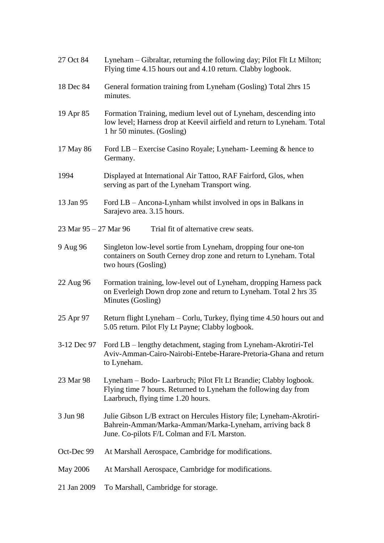| 27 Oct 84                   | Lyneham – Gibraltar, returning the following day; Pilot Flt Lt Milton;<br>Flying time 4.15 hours out and 4.10 return. Clabby logbook.                                           |
|-----------------------------|---------------------------------------------------------------------------------------------------------------------------------------------------------------------------------|
| 18 Dec 84                   | General formation training from Lyneham (Gosling) Total 2hrs 15<br>minutes.                                                                                                     |
| 19 Apr 85                   | Formation Training, medium level out of Lyneham, descending into<br>low level; Harness drop at Keevil airfield and return to Lyneham. Total<br>1 hr 50 minutes. (Gosling)       |
| 17 May 86                   | Ford LB – Exercise Casino Royale; Lyneham- Leeming $\&$ hence to<br>Germany.                                                                                                    |
| 1994                        | Displayed at International Air Tattoo, RAF Fairford, Glos, when<br>serving as part of the Lyneham Transport wing.                                                               |
| 13 Jan 95                   | Ford LB – Ancona-Lynham whilst involved in ops in Balkans in<br>Sarajevo area. 3.15 hours.                                                                                      |
| $23$ Mar $95 - 27$ Mar $96$ | Trial fit of alternative crew seats.                                                                                                                                            |
| 9 Aug 96                    | Singleton low-level sortie from Lyneham, dropping four one-ton<br>containers on South Cerney drop zone and return to Lyneham. Total<br>two hours (Gosling)                      |
| 22 Aug 96                   | Formation training, low-level out of Lyneham, dropping Harness pack<br>on Everleigh Down drop zone and return to Lyneham. Total 2 hrs 35<br>Minutes (Gosling)                   |
| 25 Apr 97                   | Return flight Lyneham – Corlu, Turkey, flying time 4.50 hours out and<br>5.05 return. Pilot Fly Lt Payne; Clabby logbook.                                                       |
|                             | 3-12 Dec 97 Ford LB – lengthy detachment, staging from Lyneham-Akrotiri-Tel<br>Aviv-Amman-Cairo-Nairobi-Entebe-Harare-Pretoria-Ghana and return<br>to Lyneham.                  |
| 23 Mar 98                   | Lyneham - Bodo- Laarbruch; Pilot Flt Lt Brandie; Clabby logbook.<br>Flying time 7 hours. Returned to Lyneham the following day from<br>Laarbruch, flying time 1.20 hours.       |
| 3 Jun 98                    | Julie Gibson L/B extract on Hercules History file; Lyneham-Akrotiri-<br>Bahrein-Amman/Marka-Amman/Marka-Lyneham, arriving back 8<br>June. Co-pilots F/L Colman and F/L Marston. |
| Oct-Dec 99                  | At Marshall Aerospace, Cambridge for modifications.                                                                                                                             |
| <b>May 2006</b>             | At Marshall Aerospace, Cambridge for modifications.                                                                                                                             |
| 21 Jan 2009                 | To Marshall, Cambridge for storage.                                                                                                                                             |